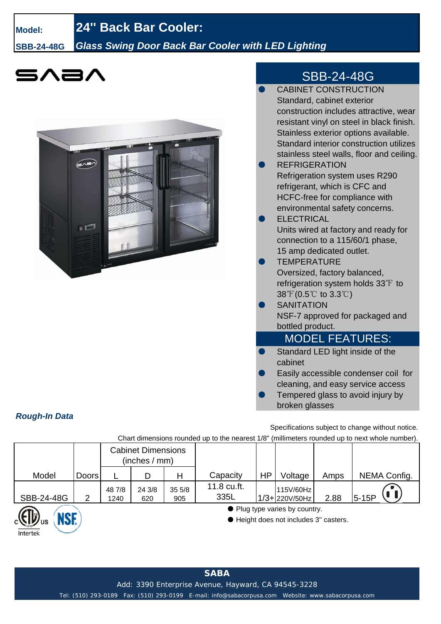#### **Model:**

## **24'' Back Bar Cooler:**

**SBB-24-48G**

### *Glass Swing Door Back Bar Cooler with LED Lighting*

# 5八三/

*Rough-In Data*

Intertek



## SBB-24-48G

|     | <b>CABINET CONSTRUCTION</b>               |
|-----|-------------------------------------------|
|     | Standard, cabinet exterior                |
|     | construction includes attractive, wear    |
|     | resistant vinyl on steel in black finish. |
|     | Stainless exterior options available.     |
|     | Standard interior construction utilizes   |
|     | stainless steel walls, floor and ceiling. |
|     | <b>REFRIGERATION</b>                      |
|     | Refrigeration system uses R290            |
|     | refrigerant, which is CFC and             |
|     | <b>HCFC-free for compliance with</b>      |
|     | environmental safety concerns.            |
|     | <b>ELECTRICAL</b>                         |
|     | Units wired at factory and ready for      |
|     | connection to a 115/60/1 phase,           |
|     | 15 amp dedicated outlet.                  |
|     | <b>TEMPERATURE</b>                        |
|     | Oversized, factory balanced,              |
|     | refrigeration system holds 33°F to        |
|     | $38^{\circ}$ (0.5°C to 3.3°C)             |
|     | <b>SANITATION</b>                         |
|     | NSF-7 approved for packaged and           |
|     | bottled product.                          |
|     | <b>MODEL FEATURES:</b>                    |
| r i | Standard LED light inside of the          |
|     | cabinet                                   |
|     | Easily accessible condenser coil for      |
|     | cleaning, and easy service access         |
|     | Tempered glass to avoid injury by         |

Specifications subject to change without notice.

Chart dimensions rounded up to the nearest 1/8" (millimeters rounded up to next whole number).

|            |              | <b>Cabinet Dimensions</b><br>(inches / mm) |               |              |                     |    |                                                                        |      |              |
|------------|--------------|--------------------------------------------|---------------|--------------|---------------------|----|------------------------------------------------------------------------|------|--------------|
| Model      | <b>Doors</b> |                                            | D             | Н            | Capacity            | HP | Voltage                                                                | Amps | NEMA Config. |
| SBB-24-48G | 2            | 48 7/8<br>1240                             | 24 3/8<br>620 | 355/8<br>905 | 11.8 cu.ft.<br>335L |    | 115V/60Hz<br>$1/3 + 220V/50Hz$                                         | 2.88 | $5-15P$      |
| NQE        |              |                                            |               |              |                     |    | • Plug type varies by country.<br>Height does not includes 3" casters. |      |              |

broken glasses

Tel: (510) 293-0189 Fax: (510) 293-0199 E-mail: info@sabacorpusa.com Website: www.sabacorpusa.com